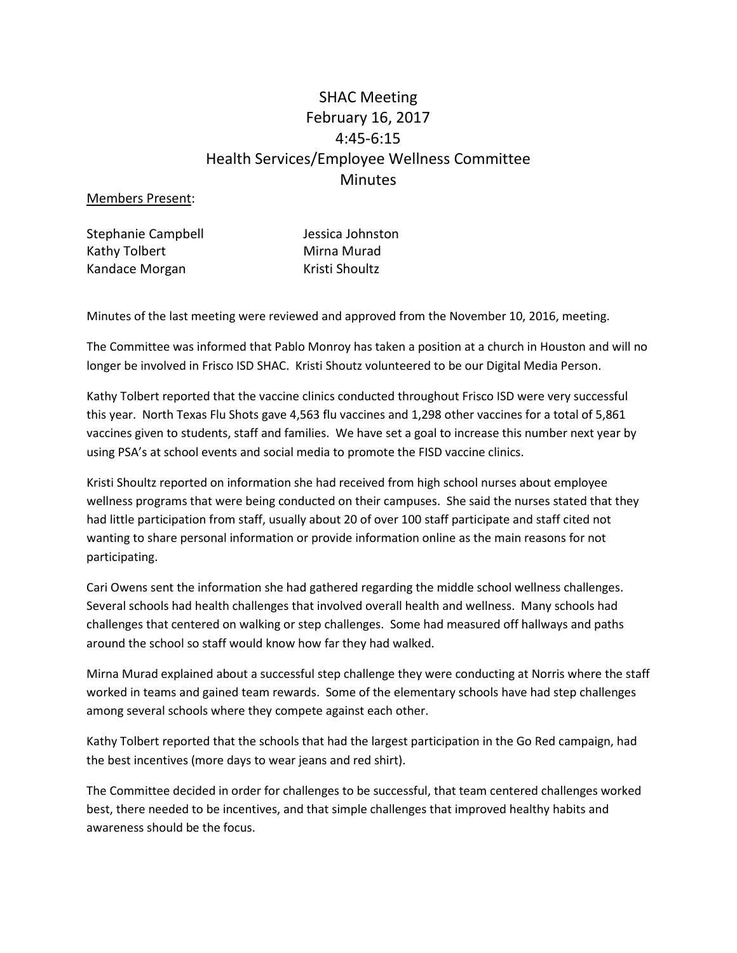# SHAC Meeting February 16, 2017 4:45-6:15 Health Services/Employee Wellness Committee Minutes

### Members Present:

Stephanie Campbell **Grand Stephanie Campbell** Jessica Johnston Kathy Tolbert Mirna Murad Kandace Morgan Kristi Shoultz

Minutes of the last meeting were reviewed and approved from the November 10, 2016, meeting.

The Committee was informed that Pablo Monroy has taken a position at a church in Houston and will no longer be involved in Frisco ISD SHAC. Kristi Shoutz volunteered to be our Digital Media Person.

Kathy Tolbert reported that the vaccine clinics conducted throughout Frisco ISD were very successful this year. North Texas Flu Shots gave 4,563 flu vaccines and 1,298 other vaccines for a total of 5,861 vaccines given to students, staff and families. We have set a goal to increase this number next year by using PSA's at school events and social media to promote the FISD vaccine clinics.

Kristi Shoultz reported on information she had received from high school nurses about employee wellness programs that were being conducted on their campuses. She said the nurses stated that they had little participation from staff, usually about 20 of over 100 staff participate and staff cited not wanting to share personal information or provide information online as the main reasons for not participating.

Cari Owens sent the information she had gathered regarding the middle school wellness challenges. Several schools had health challenges that involved overall health and wellness. Many schools had challenges that centered on walking or step challenges. Some had measured off hallways and paths around the school so staff would know how far they had walked.

Mirna Murad explained about a successful step challenge they were conducting at Norris where the staff worked in teams and gained team rewards. Some of the elementary schools have had step challenges among several schools where they compete against each other.

Kathy Tolbert reported that the schools that had the largest participation in the Go Red campaign, had the best incentives (more days to wear jeans and red shirt).

The Committee decided in order for challenges to be successful, that team centered challenges worked best, there needed to be incentives, and that simple challenges that improved healthy habits and awareness should be the focus.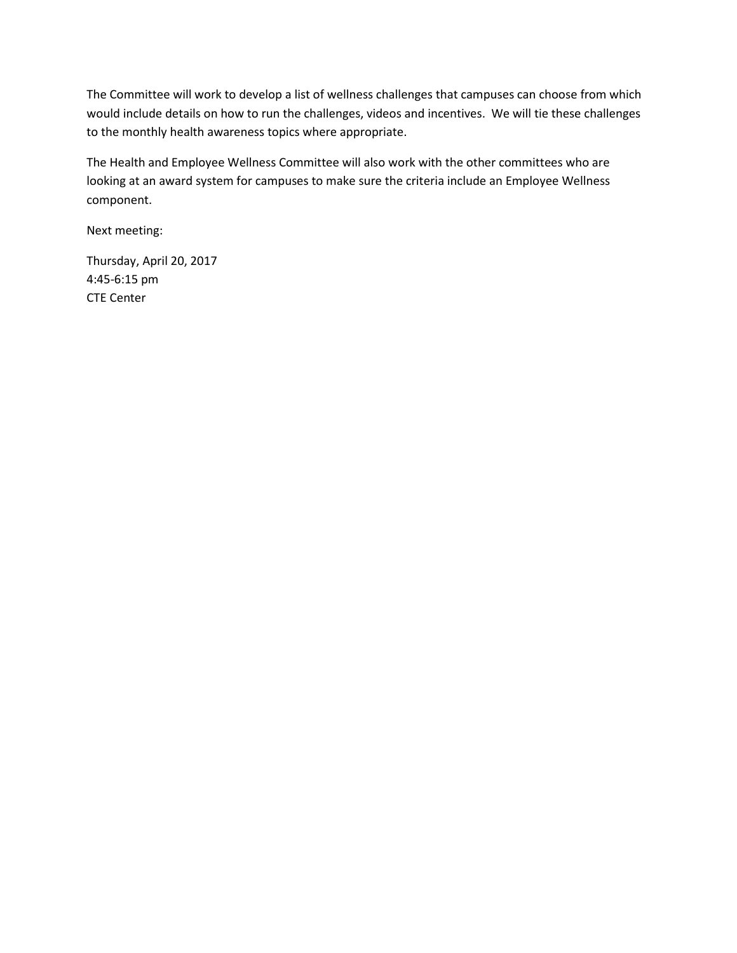The Committee will work to develop a list of wellness challenges that campuses can choose from which would include details on how to run the challenges, videos and incentives. We will tie these challenges to the monthly health awareness topics where appropriate.

The Health and Employee Wellness Committee will also work with the other committees who are looking at an award system for campuses to make sure the criteria include an Employee Wellness component.

Next meeting:

Thursday, April 20, 2017 4:45-6:15 pm CTE Center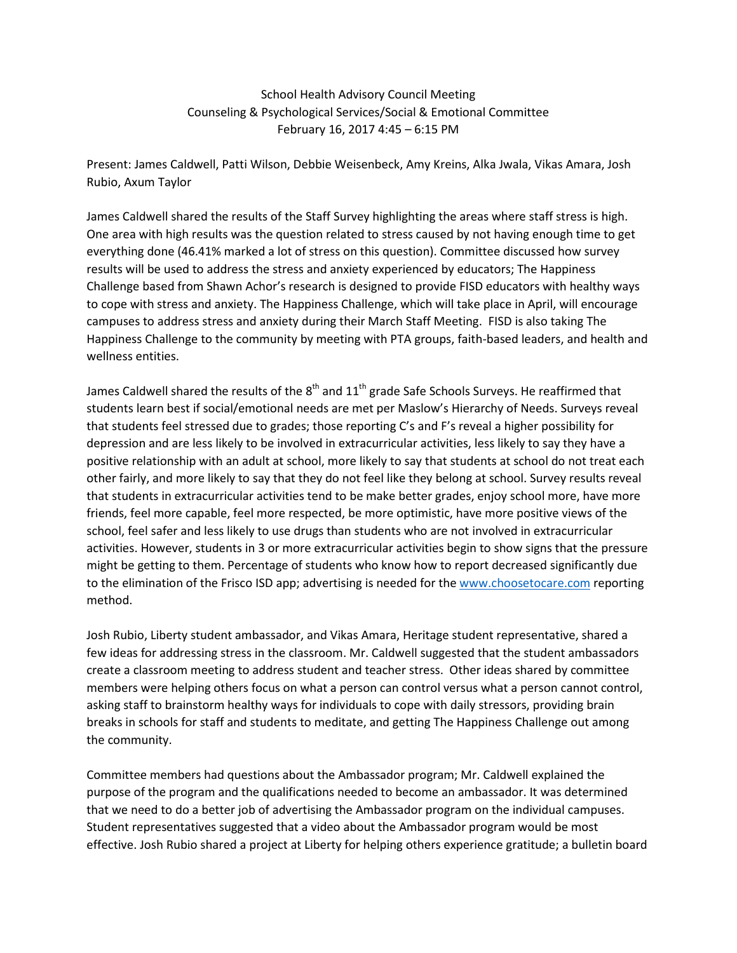School Health Advisory Council Meeting Counseling & Psychological Services/Social & Emotional Committee February 16, 2017 4:45 – 6:15 PM

Present: James Caldwell, Patti Wilson, Debbie Weisenbeck, Amy Kreins, Alka Jwala, Vikas Amara, Josh Rubio, Axum Taylor

James Caldwell shared the results of the Staff Survey highlighting the areas where staff stress is high. One area with high results was the question related to stress caused by not having enough time to get everything done (46.41% marked a lot of stress on this question). Committee discussed how survey results will be used to address the stress and anxiety experienced by educators; The Happiness Challenge based from Shawn Achor's research is designed to provide FISD educators with healthy ways to cope with stress and anxiety. The Happiness Challenge, which will take place in April, will encourage campuses to address stress and anxiety during their March Staff Meeting. FISD is also taking The Happiness Challenge to the community by meeting with PTA groups, faith-based leaders, and health and wellness entities.

James Caldwell shared the results of the  $8<sup>th</sup>$  and  $11<sup>th</sup>$  grade Safe Schools Surveys. He reaffirmed that students learn best if social/emotional needs are met per Maslow's Hierarchy of Needs. Surveys reveal that students feel stressed due to grades; those reporting C's and F's reveal a higher possibility for depression and are less likely to be involved in extracurricular activities, less likely to say they have a positive relationship with an adult at school, more likely to say that students at school do not treat each other fairly, and more likely to say that they do not feel like they belong at school. Survey results reveal that students in extracurricular activities tend to be make better grades, enjoy school more, have more friends, feel more capable, feel more respected, be more optimistic, have more positive views of the school, feel safer and less likely to use drugs than students who are not involved in extracurricular activities. However, students in 3 or more extracurricular activities begin to show signs that the pressure might be getting to them. Percentage of students who know how to report decreased significantly due to the elimination of the Frisco ISD app; advertising is needed for the [www.choosetocare.com](http://www.choosetocare.com/) reporting method.

Josh Rubio, Liberty student ambassador, and Vikas Amara, Heritage student representative, shared a few ideas for addressing stress in the classroom. Mr. Caldwell suggested that the student ambassadors create a classroom meeting to address student and teacher stress. Other ideas shared by committee members were helping others focus on what a person can control versus what a person cannot control, asking staff to brainstorm healthy ways for individuals to cope with daily stressors, providing brain breaks in schools for staff and students to meditate, and getting The Happiness Challenge out among the community.

Committee members had questions about the Ambassador program; Mr. Caldwell explained the purpose of the program and the qualifications needed to become an ambassador. It was determined that we need to do a better job of advertising the Ambassador program on the individual campuses. Student representatives suggested that a video about the Ambassador program would be most effective. Josh Rubio shared a project at Liberty for helping others experience gratitude; a bulletin board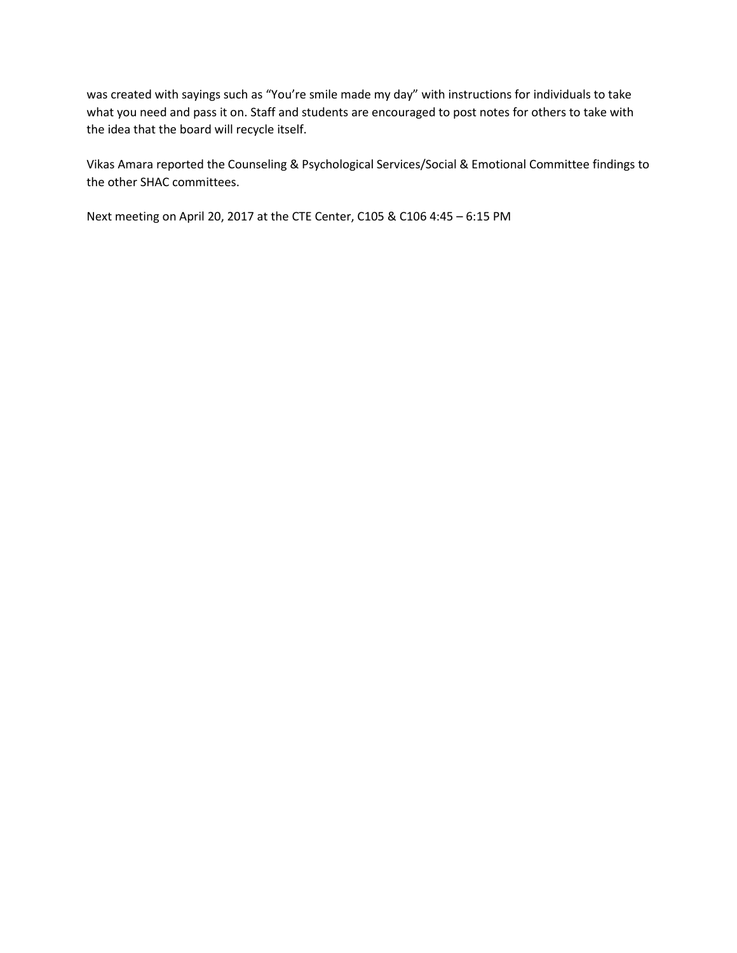was created with sayings such as "You're smile made my day" with instructions for individuals to take what you need and pass it on. Staff and students are encouraged to post notes for others to take with the idea that the board will recycle itself.

Vikas Amara reported the Counseling & Psychological Services/Social & Emotional Committee findings to the other SHAC committees.

Next meeting on April 20, 2017 at the CTE Center, C105 & C106 4:45 – 6:15 PM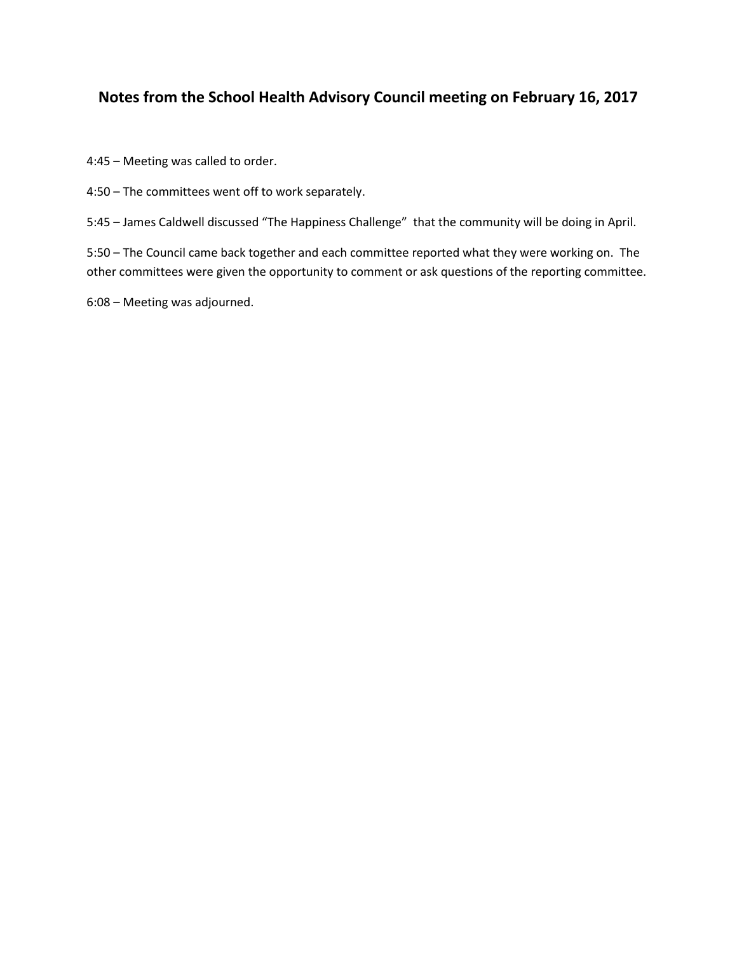# **Notes from the School Health Advisory Council meeting on February 16, 2017**

4:45 – Meeting was called to order.

4:50 – The committees went off to work separately.

5:45 – James Caldwell discussed "The Happiness Challenge" that the community will be doing in April.

5:50 – The Council came back together and each committee reported what they were working on. The other committees were given the opportunity to comment or ask questions of the reporting committee.

6:08 – Meeting was adjourned.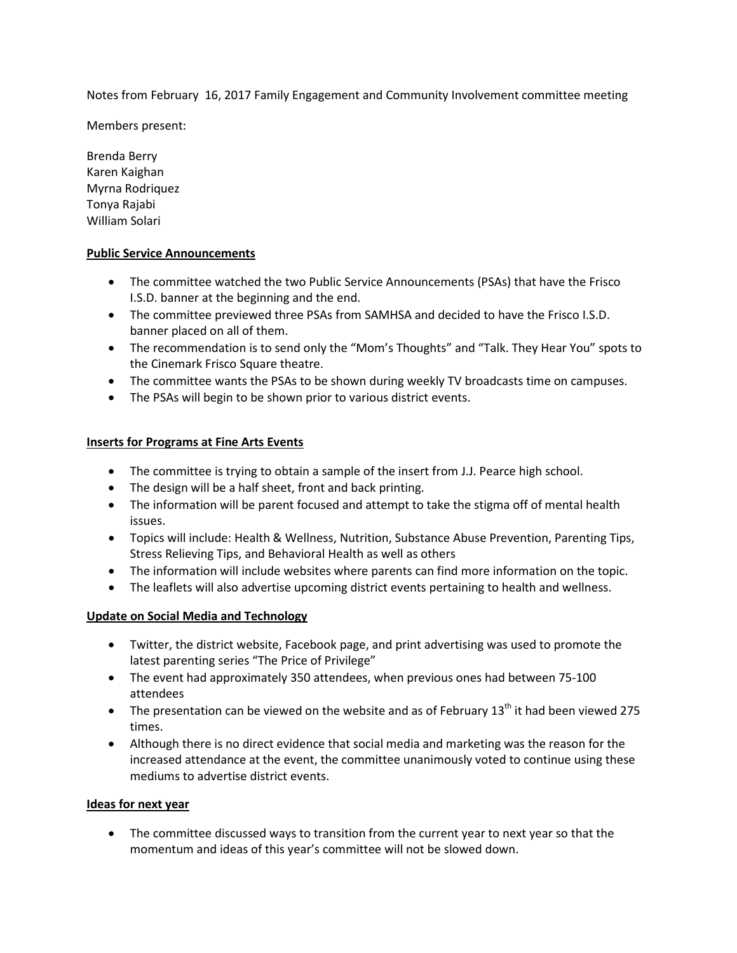Notes from February 16, 2017 Family Engagement and Community Involvement committee meeting

Members present:

Brenda Berry Karen Kaighan Myrna Rodriquez Tonya Rajabi William Solari

#### **Public Service Announcements**

- The committee watched the two Public Service Announcements (PSAs) that have the Frisco I.S.D. banner at the beginning and the end.
- The committee previewed three PSAs from SAMHSA and decided to have the Frisco I.S.D. banner placed on all of them.
- The recommendation is to send only the "Mom's Thoughts" and "Talk. They Hear You" spots to the Cinemark Frisco Square theatre.
- The committee wants the PSAs to be shown during weekly TV broadcasts time on campuses.
- The PSAs will begin to be shown prior to various district events.

## **Inserts for Programs at Fine Arts Events**

- The committee is trying to obtain a sample of the insert from J.J. Pearce high school.
- The design will be a half sheet, front and back printing.
- The information will be parent focused and attempt to take the stigma off of mental health issues.
- Topics will include: Health & Wellness, Nutrition, Substance Abuse Prevention, Parenting Tips, Stress Relieving Tips, and Behavioral Health as well as others
- The information will include websites where parents can find more information on the topic.
- The leaflets will also advertise upcoming district events pertaining to health and wellness.

#### **Update on Social Media and Technology**

- Twitter, the district website, Facebook page, and print advertising was used to promote the latest parenting series "The Price of Privilege"
- The event had approximately 350 attendees, when previous ones had between 75-100 attendees
- The presentation can be viewed on the website and as of February  $13<sup>th</sup>$  it had been viewed 275 times.
- Although there is no direct evidence that social media and marketing was the reason for the increased attendance at the event, the committee unanimously voted to continue using these mediums to advertise district events.

#### **Ideas for next year**

• The committee discussed ways to transition from the current year to next year so that the momentum and ideas of this year's committee will not be slowed down.